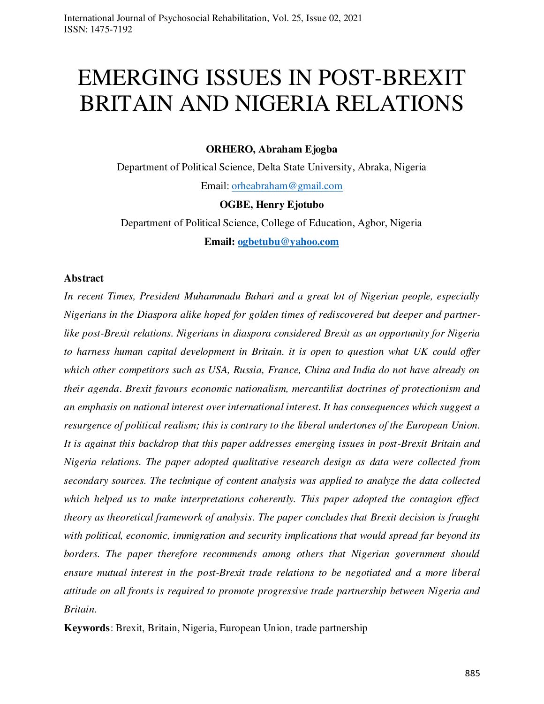# EMERGING ISSUES IN POST-BREXIT BRITAIN AND NIGERIA RELATIONS

**ORHERO, Abraham Ejogba** 

Department of Political Science, Delta State University, Abraka, Nigeria Email: [orheabraham@gmail.com](mailto:orheabraham@gmail.com) 

**OGBE, Henry Ejotubo** 

Department of Political Science, College of Education, Agbor, Nigeria **Email: [ogbetubu@yahoo.com](mailto:ogbetubu@yahoo.com)** 

## **Abstract**

*In recent Times, President Muhammadu Buhari and a great lot of Nigerian people, especially Nigerians in the Diaspora alike hoped for golden times of rediscovered but deeper and partnerlike post-Brexit relations. Nigerians in diaspora considered Brexit as an opportunity for Nigeria to harness human capital development in Britain. it is open to question what UK could offer which other competitors such as USA, Russia, France, China and India do not have already on their agenda*. *Brexit favours economic nationalism, mercantilist doctrines of protectionism and an emphasis on national interest over international interest. It has consequences which suggest a resurgence of political realism; this is contrary to the liberal undertones of the European Union. It is against this backdrop that this paper addresses emerging issues in post-Brexit Britain and Nigeria relations. The paper adopted qualitative research design as data were collected from secondary sources. The technique of content analysis was applied to analyze the data collected which helped us to make interpretations coherently. This paper adopted the contagion effect theory as theoretical framework of analysis. The paper concludes that Brexit decision is fraught with political, economic, immigration and security implications that would spread far beyond its borders. The paper therefore recommends among others that Nigerian government should ensure mutual interest in the post-Brexit trade relations to be negotiated and a more liberal attitude on all fronts is required to promote progressive trade partnership between Nigeria and Britain.* 

**Keywords**: Brexit, Britain, Nigeria, European Union, trade partnership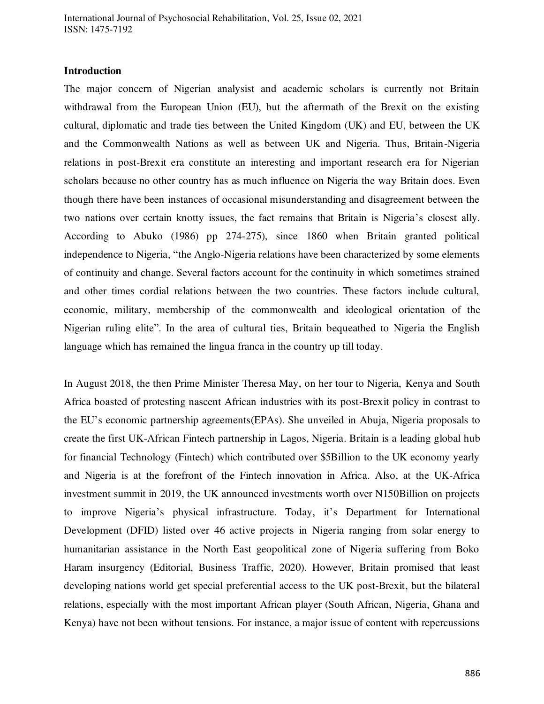## **Introduction**

The major concern of Nigerian analysist and academic scholars is currently not Britain withdrawal from the European Union (EU), but the aftermath of the Brexit on the existing cultural, diplomatic and trade ties between the United Kingdom (UK) and EU, between the UK and the Commonwealth Nations as well as between UK and Nigeria. Thus, Britain-Nigeria relations in post-Brexit era constitute an interesting and important research era for Nigerian scholars because no other country has as much influence on Nigeria the way Britain does. Even though there have been instances of occasional misunderstanding and disagreement between the two nations over certain knotty issues, the fact remains that Britain is Nigeria's closest ally. According to Abuko (1986) pp 274-275), since 1860 when Britain granted political independence to Nigeria, "the Anglo-Nigeria relations have been characterized by some elements of continuity and change. Several factors account for the continuity in which sometimes strained and other times cordial relations between the two countries. These factors include cultural, economic, military, membership of the commonwealth and ideological orientation of the Nigerian ruling elite". In the area of cultural ties, Britain bequeathed to Nigeria the English language which has remained the lingua franca in the country up till today.

In August 2018, the then Prime Minister Theresa May, on her tour to Nigeria, Kenya and South Africa boasted of protesting nascent African industries with its post-Brexit policy in contrast to the EU's economic partnership agreements(EPAs). She unveiled in Abuja, Nigeria proposals to create the first UK-African Fintech partnership in Lagos, Nigeria. Britain is a leading global hub for financial Technology (Fintech) which contributed over \$5Billion to the UK economy yearly and Nigeria is at the forefront of the Fintech innovation in Africa. Also, at the UK-Africa investment summit in 2019, the UK announced investments worth over N150Billion on projects to improve Nigeria's physical infrastructure. Today, it's Department for International Development (DFID) listed over 46 active projects in Nigeria ranging from solar energy to humanitarian assistance in the North East geopolitical zone of Nigeria suffering from Boko Haram insurgency (Editorial, Business Traffic, 2020). However, Britain promised that least developing nations world get special preferential access to the UK post-Brexit, but the bilateral relations, especially with the most important African player (South African, Nigeria, Ghana and Kenya) have not been without tensions. For instance, a major issue of content with repercussions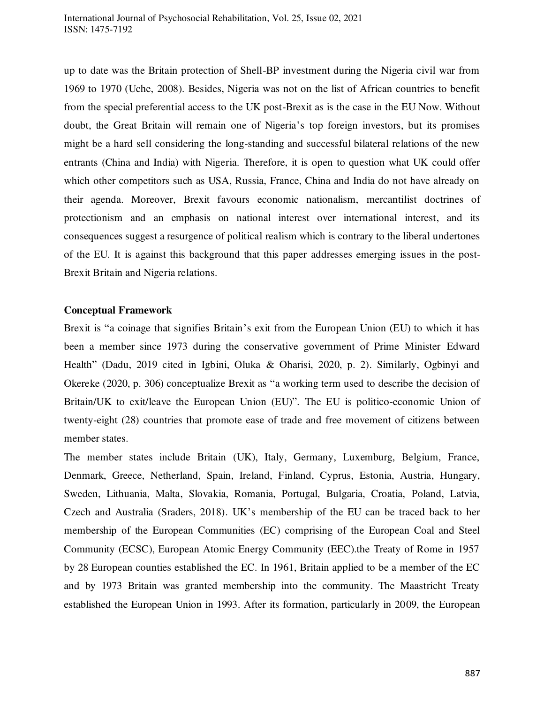up to date was the Britain protection of Shell-BP investment during the Nigeria civil war from 1969 to 1970 (Uche, 2008). Besides, Nigeria was not on the list of African countries to benefit from the special preferential access to the UK post-Brexit as is the case in the EU Now. Without doubt, the Great Britain will remain one of Nigeria's top foreign investors, but its promises might be a hard sell considering the long-standing and successful bilateral relations of the new entrants (China and India) with Nigeria. Therefore, it is open to question what UK could offer which other competitors such as USA, Russia, France, China and India do not have already on their agenda. Moreover, Brexit favours economic nationalism, mercantilist doctrines of protectionism and an emphasis on national interest over international interest, and its consequences suggest a resurgence of political realism which is contrary to the liberal undertones of the EU. It is against this background that this paper addresses emerging issues in the post-Brexit Britain and Nigeria relations.

### **Conceptual Framework**

Brexit is "a coinage that signifies Britain's exit from the European Union (EU) to which it has been a member since 1973 during the conservative government of Prime Minister Edward Health" (Dadu, 2019 cited in Igbini, Oluka & Oharisi, 2020, p. 2). Similarly, Ogbinyi and Okereke (2020, p. 306) conceptualize Brexit as "a working term used to describe the decision of Britain/UK to exit/leave the European Union (EU)". The EU is politico-economic Union of twenty-eight (28) countries that promote ease of trade and free movement of citizens between member states.

The member states include Britain (UK), Italy, Germany, Luxemburg, Belgium, France, Denmark, Greece, Netherland, Spain, Ireland, Finland, Cyprus, Estonia, Austria, Hungary, Sweden, Lithuania, Malta, Slovakia, Romania, Portugal, Bulgaria, Croatia, Poland, Latvia, Czech and Australia (Sraders, 2018). UK's membership of the EU can be traced back to her membership of the European Communities (EC) comprising of the European Coal and Steel Community (ECSC), European Atomic Energy Community (EEC).the Treaty of Rome in 1957 by 28 European counties established the EC. In 1961, Britain applied to be a member of the EC and by 1973 Britain was granted membership into the community. The Maastricht Treaty established the European Union in 1993. After its formation, particularly in 2009, the European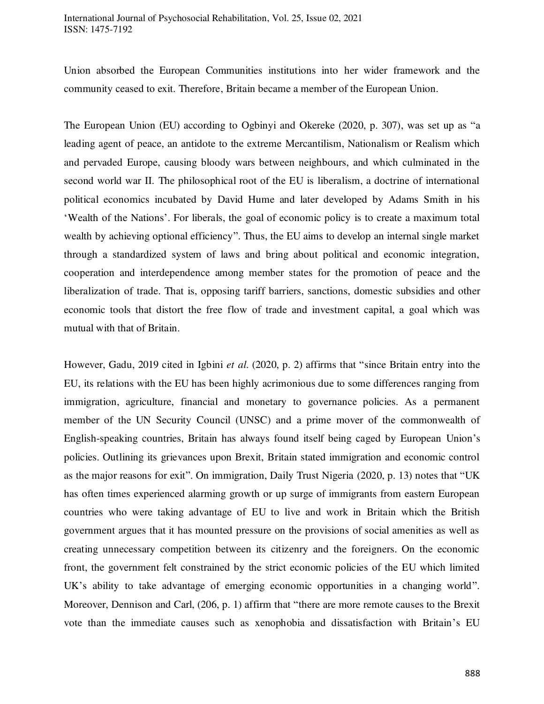Union absorbed the European Communities institutions into her wider framework and the community ceased to exit. Therefore, Britain became a member of the European Union.

The European Union (EU) according to Ogbinyi and Okereke (2020, p. 307), was set up as "a leading agent of peace, an antidote to the extreme Mercantilism, Nationalism or Realism which and pervaded Europe, causing bloody wars between neighbours, and which culminated in the second world war II. The philosophical root of the EU is liberalism, a doctrine of international political economics incubated by David Hume and later developed by Adams Smith in his 'Wealth of the Nations'. For liberals, the goal of economic policy is to create a maximum total wealth by achieving optional efficiency". Thus, the EU aims to develop an internal single market through a standardized system of laws and bring about political and economic integration, cooperation and interdependence among member states for the promotion of peace and the liberalization of trade. That is, opposing tariff barriers, sanctions, domestic subsidies and other economic tools that distort the free flow of trade and investment capital, a goal which was mutual with that of Britain.

However, Gadu, 2019 cited in Igbini *et al*. (2020, p. 2) affirms that "since Britain entry into the EU, its relations with the EU has been highly acrimonious due to some differences ranging from immigration, agriculture, financial and monetary to governance policies. As a permanent member of the UN Security Council (UNSC) and a prime mover of the commonwealth of English-speaking countries, Britain has always found itself being caged by European Union's policies. Outlining its grievances upon Brexit, Britain stated immigration and economic control as the major reasons for exit". On immigration, Daily Trust Nigeria (2020, p. 13) notes that "UK has often times experienced alarming growth or up surge of immigrants from eastern European countries who were taking advantage of EU to live and work in Britain which the British government argues that it has mounted pressure on the provisions of social amenities as well as creating unnecessary competition between its citizenry and the foreigners. On the economic front, the government felt constrained by the strict economic policies of the EU which limited UK's ability to take advantage of emerging economic opportunities in a changing world". Moreover, Dennison and Carl, (206, p. 1) affirm that "there are more remote causes to the Brexit vote than the immediate causes such as xenophobia and dissatisfaction with Britain's EU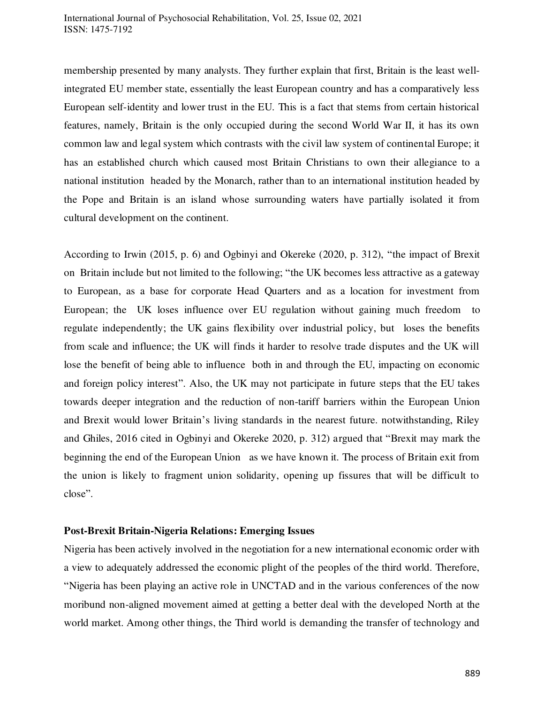membership presented by many analysts. They further explain that first, Britain is the least wellintegrated EU member state, essentially the least European country and has a comparatively less European self-identity and lower trust in the EU. This is a fact that stems from certain historical features, namely, Britain is the only occupied during the second World War II, it has its own common law and legal system which contrasts with the civil law system of continental Europe; it has an established church which caused most Britain Christians to own their allegiance to a national institution headed by the Monarch, rather than to an international institution headed by the Pope and Britain is an island whose surrounding waters have partially isolated it from cultural development on the continent.

According to Irwin (2015, p. 6) and Ogbinyi and Okereke (2020, p. 312), "the impact of Brexit on Britain include but not limited to the following; "the UK becomes less attractive as a gateway to European, as a base for corporate Head Quarters and as a location for investment from European; the UK loses influence over EU regulation without gaining much freedom to regulate independently; the UK gains flexibility over industrial policy, but loses the benefits from scale and influence; the UK will finds it harder to resolve trade disputes and the UK will lose the benefit of being able to influence both in and through the EU, impacting on economic and foreign policy interest". Also, the UK may not participate in future steps that the EU takes towards deeper integration and the reduction of non-tariff barriers within the European Union and Brexit would lower Britain's living standards in the nearest future. notwithstanding, Riley and Ghiles, 2016 cited in Ogbinyi and Okereke 2020, p. 312) argued that "Brexit may mark the beginning the end of the European Union as we have known it. The process of Britain exit from the union is likely to fragment union solidarity, opening up fissures that will be difficult to close".

### **Post-Brexit Britain-Nigeria Relations: Emerging Issues**

Nigeria has been actively involved in the negotiation for a new international economic order with a view to adequately addressed the economic plight of the peoples of the third world. Therefore, "Nigeria has been playing an active role in UNCTAD and in the various conferences of the now moribund non-aligned movement aimed at getting a better deal with the developed North at the world market. Among other things, the Third world is demanding the transfer of technology and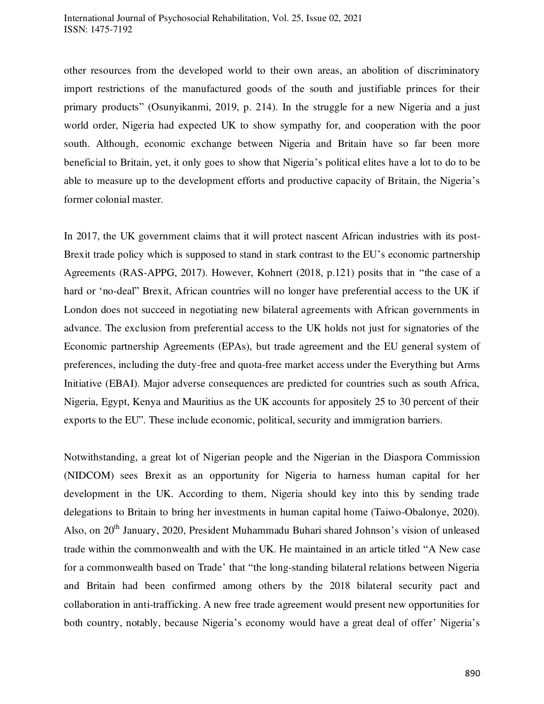other resources from the developed world to their own areas, an abolition of discriminatory import restrictions of the manufactured goods of the south and justifiable princes for their primary products" (Osunyikanmi, 2019, p. 214). In the struggle for a new Nigeria and a just world order, Nigeria had expected UK to show sympathy for, and cooperation with the poor south. Although, economic exchange between Nigeria and Britain have so far been more beneficial to Britain, yet, it only goes to show that Nigeria's political elites have a lot to do to be able to measure up to the development efforts and productive capacity of Britain, the Nigeria's former colonial master.

In 2017, the UK government claims that it will protect nascent African industries with its post-Brexit trade policy which is supposed to stand in stark contrast to the EU's economic partnership Agreements (RAS-APPG, 2017). However, Kohnert (2018, p.121) posits that in "the case of a hard or 'no-deal" Brexit, African countries will no longer have preferential access to the UK if London does not succeed in negotiating new bilateral agreements with African governments in advance. The exclusion from preferential access to the UK holds not just for signatories of the Economic partnership Agreements (EPAs), but trade agreement and the EU general system of preferences, including the duty-free and quota-free market access under the Everything but Arms Initiative (EBAI). Major adverse consequences are predicted for countries such as south Africa, Nigeria, Egypt, Kenya and Mauritius as the UK accounts for appositely 25 to 30 percent of their exports to the EU". These include economic, political, security and immigration barriers.

Notwithstanding, a great lot of Nigerian people and the Nigerian in the Diaspora Commission (NIDCOM) sees Brexit as an opportunity for Nigeria to harness human capital for her development in the UK. According to them, Nigeria should key into this by sending trade delegations to Britain to bring her investments in human capital home (Taiwo-Obalonye, 2020). Also, on 20<sup>th</sup> January, 2020, President Muhammadu Buhari shared Johnson's vision of unleased trade within the commonwealth and with the UK. He maintained in an article titled "A New case for a commonwealth based on Trade' that "the long-standing bilateral relations between Nigeria and Britain had been confirmed among others by the 2018 bilateral security pact and collaboration in anti-trafficking. A new free trade agreement would present new opportunities for both country, notably, because Nigeria's economy would have a great deal of offer' Nigeria's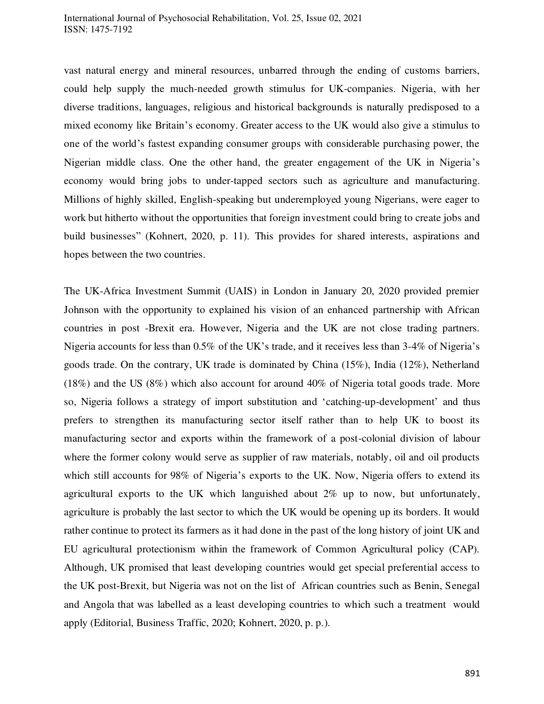vast natural energy and mineral resources, unbarred through the ending of customs barriers, could help supply the much-needed growth stimulus for UK-companies. Nigeria, with her diverse traditions, languages, religious and historical backgrounds is naturally predisposed to a mixed economy like Britain's economy. Greater access to the UK would also give a stimulus to one of the world's fastest expanding consumer groups with considerable purchasing power, the Nigerian middle class. One the other hand, the greater engagement of the UK in Nigeria's economy would bring jobs to under-tapped sectors such as agriculture and manufacturing. Millions of highly skilled, English-speaking but underemployed young Nigerians, were eager to work but hitherto without the opportunities that foreign investment could bring to create jobs and build businesses" (Kohnert, 2020, p. 11). This provides for shared interests, aspirations and hopes between the two countries.

The UK-Africa Investment Summit (UAIS) in London in January 20, 2020 provided premier Johnson with the opportunity to explained his vision of an enhanced partnership with African countries in post -Brexit era. However, Nigeria and the UK are not close trading partners. Nigeria accounts for less than 0.5% of the UK's trade, and it receives less than 3-4% of Nigeria's goods trade. On the contrary, UK trade is dominated by China (15%), India (12%), Netherland (18%) and the US (8%) which also account for around 40% of Nigeria total goods trade. More so, Nigeria follows a strategy of import substitution and 'catching-up-development' and thus prefers to strengthen its manufacturing sector itself rather than to help UK to boost its manufacturing sector and exports within the framework of a post-colonial division of labour where the former colony would serve as supplier of raw materials, notably, oil and oil products which still accounts for 98% of Nigeria's exports to the UK. Now, Nigeria offers to extend its agricultural exports to the UK which languished about 2% up to now, but unfortunately, agriculture is probably the last sector to which the UK would be opening up its borders. It would rather continue to protect its farmers as it had done in the past of the long history of joint UK and EU agricultural protectionism within the framework of Common Agricultural policy (CAP). Although, UK promised that least developing countries would get special preferential access to the UK post-Brexit, but Nigeria was not on the list of African countries such as Benin, Senegal and Angola that was labelled as a least developing countries to which such a treatment would apply (Editorial, Business Traffic, 2020; Kohnert, 2020, p. p.).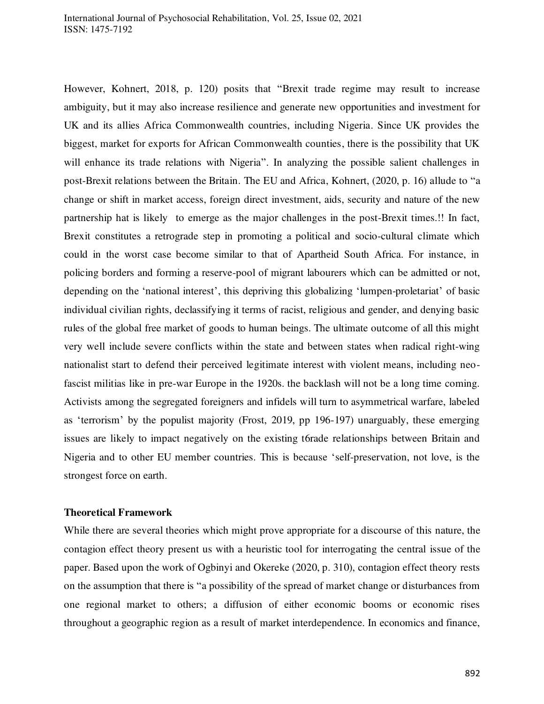However, Kohnert, 2018, p. 120) posits that "Brexit trade regime may result to increase ambiguity, but it may also increase resilience and generate new opportunities and investment for UK and its allies Africa Commonwealth countries, including Nigeria. Since UK provides the biggest, market for exports for African Commonwealth counties, there is the possibility that UK will enhance its trade relations with Nigeria". In analyzing the possible salient challenges in post-Brexit relations between the Britain. The EU and Africa, Kohnert, (2020, p. 16) allude to "a change or shift in market access, foreign direct investment, aids, security and nature of the new partnership hat is likely to emerge as the major challenges in the post-Brexit times.!! In fact, Brexit constitutes a retrograde step in promoting a political and socio-cultural climate which could in the worst case become similar to that of Apartheid South Africa. For instance, in policing borders and forming a reserve-pool of migrant labourers which can be admitted or not, depending on the 'national interest', this depriving this globalizing 'lumpen-proletariat' of basic individual civilian rights, declassifying it terms of racist, religious and gender, and denying basic rules of the global free market of goods to human beings. The ultimate outcome of all this might very well include severe conflicts within the state and between states when radical right-wing nationalist start to defend their perceived legitimate interest with violent means, including neofascist militias like in pre-war Europe in the 1920s. the backlash will not be a long time coming. Activists among the segregated foreigners and infidels will turn to asymmetrical warfare, labeled as 'terrorism' by the populist majority (Frost, 2019, pp 196-197) unarguably, these emerging issues are likely to impact negatively on the existing t6rade relationships between Britain and Nigeria and to other EU member countries. This is because 'self-preservation, not love, is the strongest force on earth.

## **Theoretical Framework**

While there are several theories which might prove appropriate for a discourse of this nature, the contagion effect theory present us with a heuristic tool for interrogating the central issue of the paper. Based upon the work of Ogbinyi and Okereke (2020, p. 310), contagion effect theory rests on the assumption that there is "a possibility of the spread of market change or disturbances from one regional market to others; a diffusion of either economic booms or economic rises throughout a geographic region as a result of market interdependence. In economics and finance,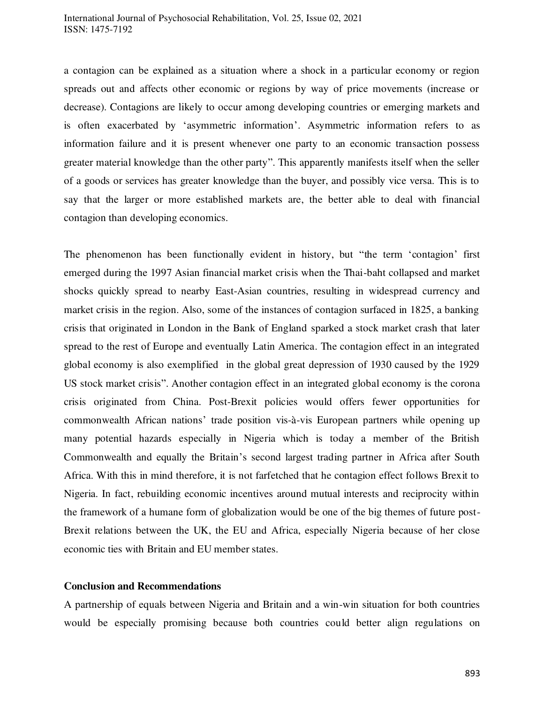a contagion can be explained as a situation where a shock in a particular economy or region spreads out and affects other economic or regions by way of price movements (increase or decrease). Contagions are likely to occur among developing countries or emerging markets and is often exacerbated by 'asymmetric information'. Asymmetric information refers to as information failure and it is present whenever one party to an economic transaction possess greater material knowledge than the other party". This apparently manifests itself when the seller of a goods or services has greater knowledge than the buyer, and possibly vice versa. This is to say that the larger or more established markets are, the better able to deal with financial contagion than developing economics.

The phenomenon has been functionally evident in history, but "the term 'contagion' first emerged during the 1997 Asian financial market crisis when the Thai-baht collapsed and market shocks quickly spread to nearby East-Asian countries, resulting in widespread currency and market crisis in the region. Also, some of the instances of contagion surfaced in 1825, a banking crisis that originated in London in the Bank of England sparked a stock market crash that later spread to the rest of Europe and eventually Latin America. The contagion effect in an integrated global economy is also exemplified in the global great depression of 1930 caused by the 1929 US stock market crisis". Another contagion effect in an integrated global economy is the corona crisis originated from China. Post-Brexit policies would offers fewer opportunities for commonwealth African nations' trade position vis-à-vis European partners while opening up many potential hazards especially in Nigeria which is today a member of the British Commonwealth and equally the Britain's second largest trading partner in Africa after South Africa. With this in mind therefore, it is not farfetched that he contagion effect follows Brexit to Nigeria. In fact, rebuilding economic incentives around mutual interests and reciprocity within the framework of a humane form of globalization would be one of the big themes of future post-Brexit relations between the UK, the EU and Africa, especially Nigeria because of her close economic ties with Britain and EU member states.

### **Conclusion and Recommendations**

A partnership of equals between Nigeria and Britain and a win-win situation for both countries would be especially promising because both countries could better align regulations on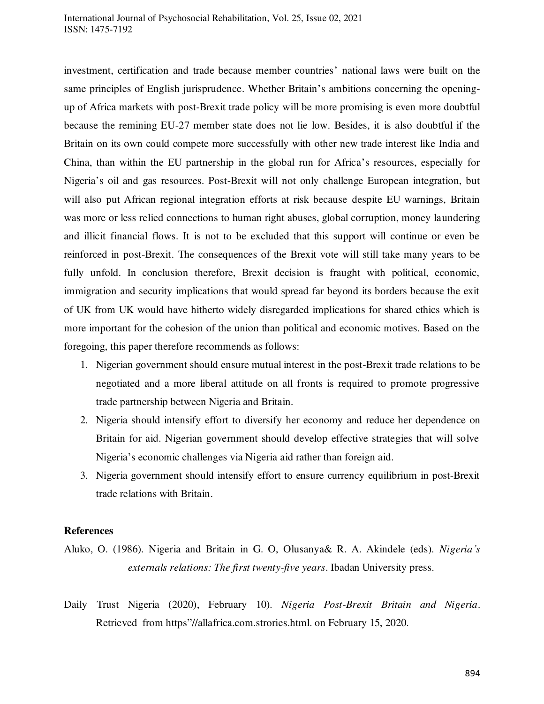#### International Journal of Psychosocial Rehabilitation, Vol. 25, Issue 02, 2021 ISSN: 1475-7192

investment, certification and trade because member countries' national laws were built on the same principles of English jurisprudence. Whether Britain's ambitions concerning the openingup of Africa markets with post-Brexit trade policy will be more promising is even more doubtful because the remining EU-27 member state does not lie low. Besides, it is also doubtful if the Britain on its own could compete more successfully with other new trade interest like India and China, than within the EU partnership in the global run for Africa's resources, especially for Nigeria's oil and gas resources. Post-Brexit will not only challenge European integration, but will also put African regional integration efforts at risk because despite EU warnings, Britain was more or less relied connections to human right abuses, global corruption, money laundering and illicit financial flows. It is not to be excluded that this support will continue or even be reinforced in post-Brexit. The consequences of the Brexit vote will still take many years to be fully unfold. In conclusion therefore, Brexit decision is fraught with political, economic, immigration and security implications that would spread far beyond its borders because the exit of UK from UK would have hitherto widely disregarded implications for shared ethics which is more important for the cohesion of the union than political and economic motives. Based on the foregoing, this paper therefore recommends as follows:

- 1. Nigerian government should ensure mutual interest in the post-Brexit trade relations to be negotiated and a more liberal attitude on all fronts is required to promote progressive trade partnership between Nigeria and Britain.
- 2. Nigeria should intensify effort to diversify her economy and reduce her dependence on Britain for aid. Nigerian government should develop effective strategies that will solve Nigeria's economic challenges via Nigeria aid rather than foreign aid.
- 3. Nigeria government should intensify effort to ensure currency equilibrium in post-Brexit trade relations with Britain.

### **References**

- Aluko, O. (1986). Nigeria and Britain in G. O, Olusanya& R. A. Akindele (eds). *Nigeria's externals relations: The first twenty-five years*. Ibadan University press.
- Daily Trust Nigeria (2020), February 10). *Nigeria Post-Brexit Britain and Nigeria*. Retrieved from https"//allafrica.com.strories.html. on February 15, 2020.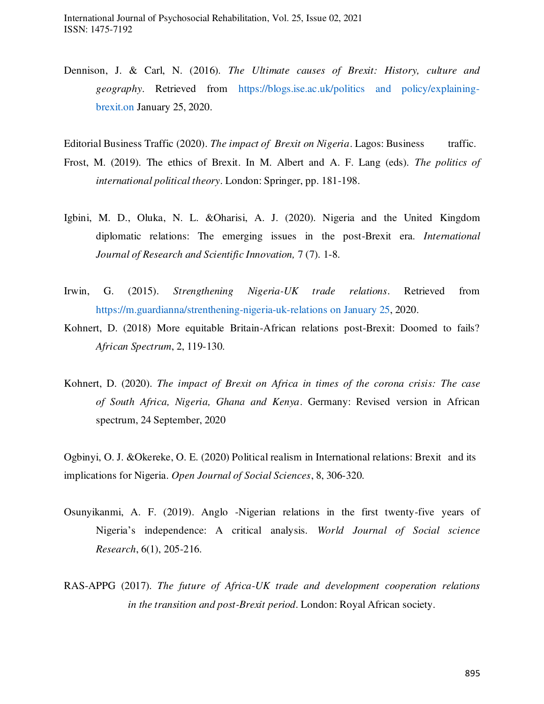Dennison, J. & Carl, N. (2016). *The Ultimate causes of Brexit: History, culture and geography*. Retrieved from [https://blogs.ise.ac.uk/politics and policy/explaining](https://blogs.ise.ac.uk/politics%20and%20policy/explaining-%09brexit.on)  [brexit.on](https://blogs.ise.ac.uk/politics%20and%20policy/explaining-%09brexit.on) January 25, 2020.

Editorial Business Traffic (2020). *The impact of Brexit on Nigeria*. Lagos: Business traffic.

- Frost, M. (2019). The ethics of Brexit. In M. Albert and A. F. Lang (eds). *The politics of international political theory*. London: Springer, pp. 181-198.
- Igbini, M. D., Oluka, N. L. &Oharisi, A. J. (2020). Nigeria and the United Kingdom diplomatic relations: The emerging issues in the post-Brexit era. *International Journal of Research and Scientific Innovation,* 7 (7). 1-8.
- Irwin, G. (2015). *Strengthening Nigeria-UK trade relations*. Retrieved from [https://m.guardianna/strenthening-nigeria-uk-relations on January 25,](https://m.guardianna/strenthening-nigeria-uk-relations%20on%20January%2025) 2020.
- Kohnert, D. (2018) More equitable Britain-African relations post-Brexit: Doomed to fails? *African Spectrum*, 2, 119-130.
- Kohnert, D. (2020). *The impact of Brexit on Africa in times of the corona crisis: The case of South Africa, Nigeria, Ghana and Kenya*. Germany: Revised version in African spectrum, 24 September, 2020
- Ogbinyi, O. J. &Okereke, O. E. (2020) Political realism in International relations: Brexit and its implications for Nigeria. *Open Journal of Social Sciences*, 8, 306-320.
- Osunyikanmi, A. F. (2019). Anglo -Nigerian relations in the first twenty-five years of Nigeria's independence: A critical analysis. *World Journal of Social science Research*, 6(1), 205-216.
- RAS-APPG (2017). *The future of Africa-UK trade and development cooperation relations in the transition and post-Brexit period*. London: Royal African society.